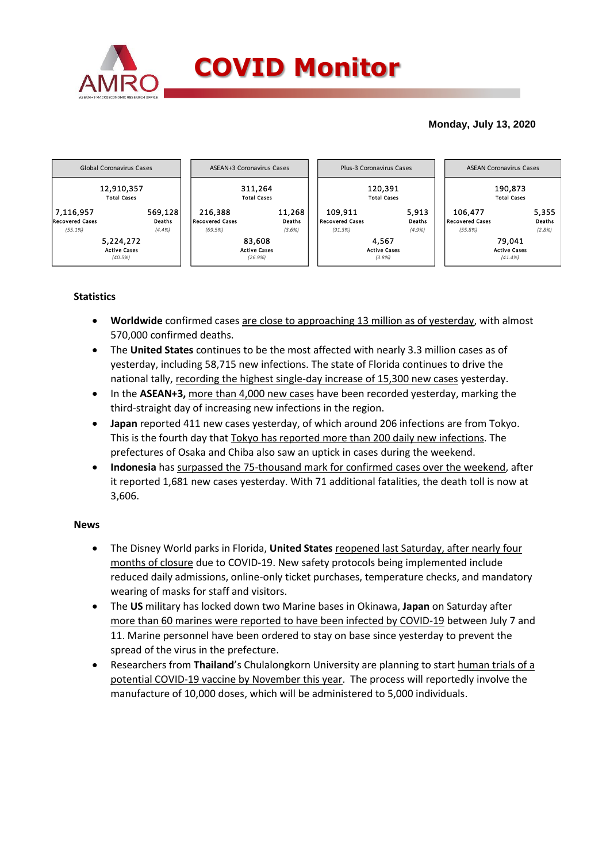

## **Monday, July 13, 2020**



## **Statistics**

- **Worldwide** confirmed cases are close to approaching 13 million as of yesterday, with almost 570,000 confirmed deaths.
- The **United States** continues to be the most affected with nearly 3.3 million cases as of yesterday, including 58,715 new infections. The state of Florida continues to drive the national tally, recording the highest single-day increase of 15,300 new cases yesterday.
- In the **ASEAN+3**, more than 4,000 new cases have been recorded yesterday, marking the third-straight day of increasing new infections in the region.
- **Japan** reported 411 new cases yesterday, of which around 206 infections are from Tokyo. This is the fourth day that Tokyo has reported more than 200 daily new infections. The prefectures of Osaka and Chiba also saw an uptick in cases during the weekend.
- **Indonesia** has surpassed the 75-thousand mark for confirmed cases over the weekend, after it reported 1,681 new cases yesterday. With 71 additional fatalities, the death toll is now at 3,606.

## **News**

- The Disney World parks in Florida, **United States** reopened last Saturday, after nearly four months of closure due to COVID-19. New safety protocols being implemented include reduced daily admissions, online-only ticket purchases, temperature checks, and mandatory wearing of masks for staff and visitors.
- The **US** military has locked down two Marine bases in Okinawa, **Japan** on Saturday after more than 60 marines were reported to have been infected by COVID-19 between July 7 and 11. Marine personnel have been ordered to stay on base since yesterday to prevent the spread of the virus in the prefecture.
- Researchers from **Thailand**'s Chulalongkorn University are planning to start human trials of a potential COVID-19 vaccine by November this year. The process will reportedly involve the manufacture of 10,000 doses, which will be administered to 5,000 individuals.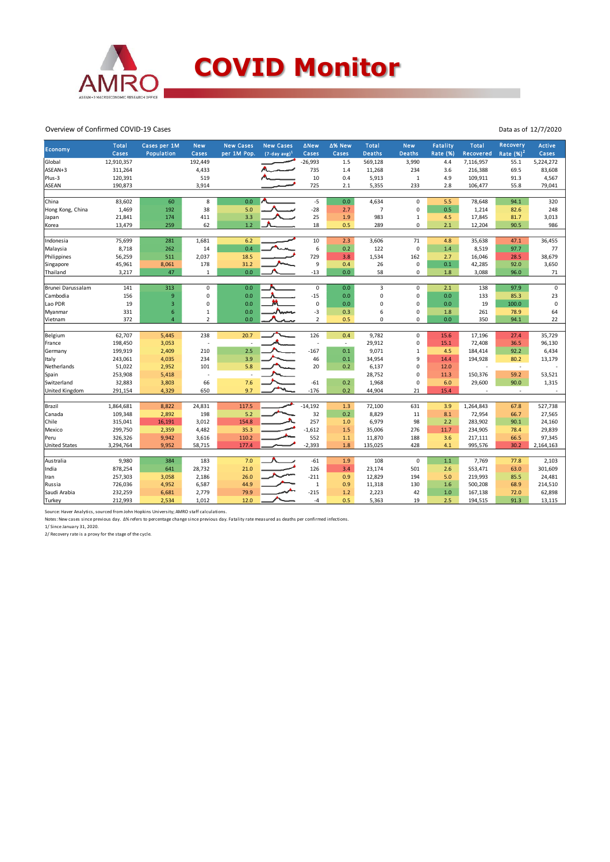

Overview of Confirmed COVID-19 Cases

| Economy               | <b>Total</b><br>Cases | Cases per 1M<br>Population | <b>New</b><br>Cases | <b>New Cases</b><br>per 1M Pop. | <b>New Cases</b><br>$(7-day avg)^1$ | <b>ANew</b><br>Cases | ∆% New<br>Cases          | <b>Total</b><br>Deaths | <b>New</b><br><b>Deaths</b> | <b>Fatality</b><br>Rate (%) | <b>Total</b><br>Recovered | Recovery<br>Rate $(%)2$  | <b>Active</b><br>Cases |
|-----------------------|-----------------------|----------------------------|---------------------|---------------------------------|-------------------------------------|----------------------|--------------------------|------------------------|-----------------------------|-----------------------------|---------------------------|--------------------------|------------------------|
| Global                | 12,910,357            |                            | 192.449             |                                 |                                     | $-26,993$            | 1.5                      | 569,128                | 3,990                       | 4.4                         | 7,116,957                 | 55.1                     | 5,224,272              |
| ASEAN+3               | 311,264               |                            | 4,433               |                                 |                                     | 735                  | 1.4                      | 11,268                 | 234                         | 3.6                         | 216,388                   | 69.5                     | 83,608                 |
| Plus-3                | 120,391               |                            | 519                 |                                 |                                     | 10                   | 0.4                      | 5,913                  | $\mathbf{1}$                | 4.9                         | 109,911                   | 91.3                     | 4,567                  |
| <b>ASEAN</b>          | 190,873               |                            | 3,914               |                                 |                                     | 725                  | 2.1                      | 5,355                  | 233                         | 2.8                         | 106,477                   | 55.8                     | 79,041                 |
|                       |                       |                            |                     |                                 |                                     |                      |                          |                        |                             |                             |                           |                          |                        |
| China                 | 83,602                | 60                         | 8                   | 0.0                             |                                     | $-5$                 | 0.0                      | 4,634                  | 0                           | 5.5                         | 78,648                    | 94.1                     | 320                    |
| Hong Kong, China      | 1,469                 | 192                        | 38                  | 5.0                             |                                     | $-28$                | 2.7                      | $\overline{7}$         | $\mathbf 0$                 | 0.5                         | 1,214                     | 82.6                     | 248                    |
| Japan                 | 21,841                | 174                        | 411                 | 3.3                             |                                     | 25                   | 1.9                      | 983                    | $\mathbf{1}$                | 4.5                         | 17,845                    | 81.7                     | 3,013                  |
| Korea                 | 13,479                | 259                        | 62                  | 1.2                             |                                     | 18                   | 0.5                      | 289                    | 0                           | 2.1                         | 12,204                    | 90.5                     | 986                    |
|                       |                       |                            |                     |                                 |                                     |                      |                          |                        |                             |                             |                           |                          |                        |
| Indonesia             | 75,699                | 281                        | 1,681               | 6.2                             |                                     | 10                   | 2.3                      | 3,606                  | 71<br>$\mathbf 0$           | 4.8                         | 35,638                    | 47.1                     | 36,455                 |
| Malaysia              | 8,718                 | 262                        | 14                  | 0.4                             |                                     | 6                    | 0.2                      | 122                    |                             | 1.4                         | 8,519                     | 97.7                     | 77                     |
| Philippines           | 56,259                | 511                        | 2,037               | 18.5                            |                                     | 729                  | 3.8                      | 1,534                  | 162                         | 2.7                         | 16,046                    | 28.5                     | 38,679                 |
| Singapore             | 45,961                | 8,061                      | 178                 | 31.2                            |                                     | 9                    | 0.4                      | 26                     | 0                           | 0.1                         | 42,285                    | 92.0                     | 3,650                  |
| Thailand              | 3,217                 | 47                         | $\mathbf 1$         | 0.0                             |                                     | $-13$                | 0.0                      | 58                     | 0                           | 1.8                         | 3,088                     | 96.0                     | 71                     |
| Brunei Darussalam     | 141                   | 313                        | 0                   | 0.0                             |                                     | 0                    | 0.0                      | 3                      | 0                           | 2.1                         | 138                       | 97.9                     | $\mathbf 0$            |
| Cambodia              | 156                   | 9                          | $\mathbf 0$         | 0.0                             |                                     | $-15$                | 0.0                      | 0                      | 0                           | 0.0                         | 133                       | 85.3                     | 23                     |
| Lao PDR               | 19                    | 3                          | 0                   | 0.0                             |                                     | 0                    | 0.0                      | 0                      | 0                           | 0.0                         | 19                        | 100.0                    | $\mathsf 0$            |
| Myanmar               | 331                   | 6                          | $\mathbf 1$         | 0.0                             |                                     | $-3$                 | 0.3                      | 6                      | 0                           | 1.8                         | 261                       | 78.9                     | 64                     |
| Vietnam               | 372                   | $\overline{4}$             | $\overline{2}$      | 0.0                             |                                     | $\overline{2}$       | 0.5                      | 0                      | 0                           | 0.0                         | 350                       | 94.1                     | 22                     |
|                       |                       |                            |                     |                                 |                                     |                      |                          |                        |                             |                             |                           |                          |                        |
| Belgium               | 62,707                | 5,445                      | 238                 | 20.7                            |                                     | 126                  | 0.4                      | 9,782                  | 0                           | 15.6                        | 17,196                    | 27.4                     | 35,729                 |
| France                | 198,450               | 3,053                      | ÷,                  | $\overline{\phantom{a}}$        |                                     | ٠                    | $\overline{\phantom{a}}$ | 29,912                 | 0                           | 15.1                        | 72,408                    | 36.5                     | 96,130                 |
| Germany               | 199,919               | 2,409                      | 210                 | 2.5                             |                                     | $-167$               | 0.1                      | 9,071                  | $\mathbf{1}$                | 4.5                         | 184,414                   | 92.2                     | 6,434                  |
| Italy                 | 243,061               | 4,035                      | 234                 | 3.9                             |                                     | 46                   | 0.1                      | 34,954                 | 9                           | 14.4                        | 194,928                   | 80.2                     | 13,179                 |
| Netherlands           | 51,022                | 2,952                      | 101                 | 5.8                             |                                     | 20                   | 0.2                      | 6,137                  | 0                           | 12.0                        |                           | $\overline{\phantom{a}}$ |                        |
| Spain                 | 253,908               | 5,418                      | Ĭ.                  |                                 |                                     |                      |                          | 28,752                 | 0                           | 11.3                        | 150,376                   | 59.2                     | 53,521                 |
| Switzerland           | 32,883                | 3,803                      | 66                  | 7.6                             |                                     | $-61$                | 0.2                      | 1,968                  | 0                           | 6.0                         | 29,600                    | 90.0                     | 1,315                  |
| <b>United Kingdom</b> | 291,154               | 4,329                      | 650                 | 9.7                             |                                     | $-176$               | 0.2                      | 44,904                 | 21                          | 15.4                        | $\sim$                    | $\sim$                   |                        |
| Brazil                | 1,864,681             | 8,822                      | 24,831              | 117.5                           |                                     | $-14,192$            | 1.3                      | 72,100                 | 631                         | 3.9                         | 1,264,843                 | 67.8                     | 527,738                |
| Canada                | 109,348               | 2,892                      | 198                 | 5.2                             |                                     | 32                   | 0.2                      | 8,829                  | 11                          | 8.1                         | 72,954                    | 66.7                     | 27,565                 |
| Chile                 | 315,041               | 16,191                     | 3,012               | 154.8                           |                                     | 257                  | 1.0                      | 6,979                  | 98                          | 2.2                         | 283,902                   | 90.1                     | 24,160                 |
| Mexico                | 299,750               | 2,359                      | 4,482               | 35.3                            |                                     | $-1,612$             | 1.5                      | 35,006                 | 276                         | 11.7                        | 234,905                   | 78.4                     | 29,839                 |
| Peru                  | 326,326               | 9,942                      | 3,616               | 110.2                           |                                     | 552                  | $1.1$                    | 11,870                 | 188                         | 3.6                         | 217,111                   | 66.5                     | 97,345                 |
| <b>United States</b>  | 3,294,764             | 9,952                      | 58,715              | 177.4                           |                                     | $-2,393$             | 1.8                      | 135,025                | 428                         | 4.1                         | 995,576                   | 30.2                     | 2,164,163              |
|                       |                       |                            |                     |                                 |                                     |                      |                          |                        |                             |                             |                           |                          |                        |
| Australia             | 9,980                 | 384                        | 183                 | 7.0                             |                                     | $-61$                | 1.9                      | 108                    | $\mathbf 0$                 | $1.1$                       | 7,769                     | 77.8                     | 2,103                  |
| India                 | 878,254               | 641                        | 28,732              | 21.0                            |                                     | 126                  | 3.4                      | 23,174                 | 501                         | 2.6                         | 553,471                   | 63.0                     | 301,609                |
| Iran                  | 257,303               | 3,058                      | 2,186               | 26.0                            |                                     | $-211$               | 0.9                      | 12,829                 | 194                         | 5.0                         | 219,993                   | 85.5                     | 24,481                 |
| Russia                | 726,036               | 4,952                      | 6,587               | 44.9                            |                                     | $\mathbf{1}$         | 0.9                      | 11,318                 | 130                         | 1.6                         | 500,208                   | 68.9                     | 214,510                |
| Saudi Arabia          | 232,259               | 6,681                      | 2,779               | 79.9                            |                                     | $-215$               | 1.2                      | 2,223                  | 42                          | 1.0                         | 167,138                   | 72.0                     | 62,898                 |
| Turkey                | 212,993               | 2,534                      | 1,012               | 12.0                            |                                     | $-4$                 | 0.5                      | 5,363                  | 19                          | 2.5                         | 194,515                   | 91.3                     | 13,115                 |

Source: Haver Analytics, sourced from John Hopkins University; AMRO staff calculations.<br>Notes: New cases since previous day. ∆% refers to percentage change since previous day. Fatality rate measured as deaths per confirmed

Data as of 12/7/2020